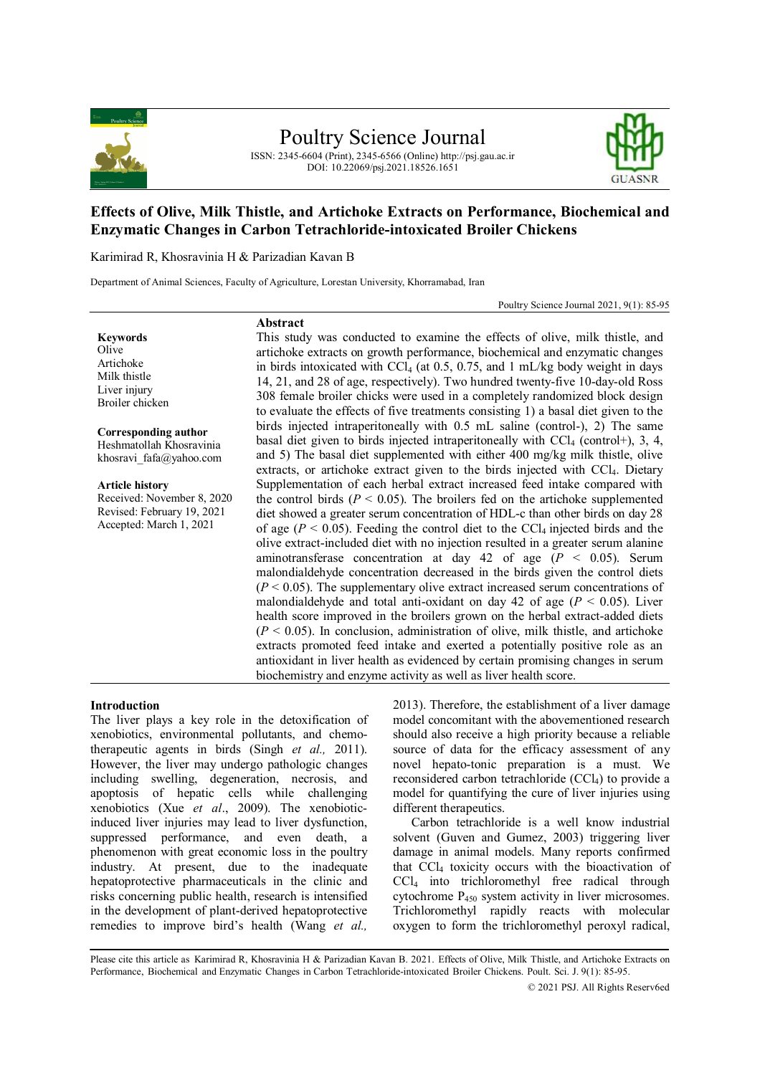

Poultry Science Journal

ISSN: 2345-6604 (Print), 2345-6566 (Online) http://psj.gau.ac.ir DOI: 10.22069/psj.2021.18526.1651



# **Effects of Olive, Milk Thistle, and Artichoke Extracts on Performance, Biochemical and Enzymatic Changes in Carbon Tetrachloride-intoxicated Broiler Chickens**

Karimirad R, Khosravinia H & Parizadian Kavan B

Department of Animal Sciences, Faculty of Agriculture, Lorestan University, Khorramabad, Iran

**Abstract**

Poultry Science Journal 2021, 9(1): 85-95

#### **Keywords**

Olive Artichoke Milk thistle Liver injury Broiler chicken

**Corresponding author** Heshmatollah Khosravinia

khosravi fafa@yahoo.com

**Article history** Received: November 8, 2020 Revised: February 19, 2021 Accepted: March 1, 2021

This study was conducted to examine the effects of olive, milk thistle, and artichoke extracts on growth performance, biochemical and enzymatic changes in birds intoxicated with  $\text{CCl}_4$  (at 0.5, 0.75, and 1 mL/kg body weight in days 14, 21, and 28 of age, respectively). Two hundred twenty-five 10-day-old Ross 308 female broiler chicks were used in a completely randomized block design to evaluate the effects of five treatments consisting 1) a basal diet given to the birds injected intraperitoneally with 0.5 mL saline (control-), 2) The same basal diet given to birds injected intraperitoneally with  $\text{CCl}_4$  (control+), 3, 4, and 5) The basal diet supplemented with either 400 mg/kg milk thistle, olive extracts, or artichoke extract given to the birds injected with CCl<sub>4</sub>. Dietary Supplementation of each herbal extract increased feed intake compared with the control birds ( $P < 0.05$ ). The broilers fed on the artichoke supplemented diet showed a greater serum concentration of HDL-c than other birds on day 28 of age ( $P < 0.05$ ). Feeding the control diet to the CCl<sub>4</sub> injected birds and the olive extract-included diet with no injection resulted in a greater serum alanine aminotransferase concentration at day 42 of age  $(P < 0.05)$ . Serum malondialdehyde concentration decreased in the birds given the control diets  $(P < 0.05)$ . The supplementary olive extract increased serum concentrations of malondialdehyde and total anti-oxidant on day 42 of age  $(P < 0.05)$ . Liver health score improved in the broilers grown on the herbal extract-added diets  $(P < 0.05)$ . In conclusion, administration of olive, milk thistle, and artichoke extracts promoted feed intake and exerted a potentially positive role as an antioxidant in liver health as evidenced by certain promising changes in serum biochemistry and enzyme activity as well as liver health score.

## **Introduction**

The liver plays a key role in the detoxification of xenobiotics, environmental pollutants, and chemotherapeutic agents in birds (Singh *et al.,* 2011). However, the liver may undergo pathologic changes including swelling, degeneration, necrosis, and apoptosis of hepatic cells while challenging xenobiotics (Xue *et al*., 2009). The xenobioticinduced liver injuries may lead to liver dysfunction, suppressed performance, and even death, a phenomenon with great economic loss in the poultry industry. At present, due to the inadequate hepatoprotective pharmaceuticals in the clinic and risks concerning public health, research is intensified in the development of plant-derived hepatoprotective remedies to improve bird's health (Wang *et al.,*

2013). Therefore, the establishment of a liver damage model concomitant with the abovementioned research should also receive a high priority because a reliable source of data for the efficacy assessment of any novel hepato-tonic preparation is a must. We reconsidered carbon tetrachloride (CCl4) to provide a model for quantifying the cure of liver injuries using different therapeutics.

Carbon tetrachloride is a well know industrial solvent (Guven and Gumez, 2003) triggering liver damage in animal models. Many reports confirmed that CCl<sup>4</sup> toxicity occurs with the bioactivation of CCl<sup>4</sup> into trichloromethyl free radical through cytochrome P<sup>450</sup> system activity in liver microsomes. Trichloromethyl rapidly reacts with molecular oxygen to form the trichloromethyl peroxyl radical,

Please cite this article as Karimirad R, Khosravinia H & Parizadian Kavan B. 2021. Effects of Olive, Milk Thistle, and Artichoke Extracts on Performance, Biochemical and Enzymatic Changes in Carbon Tetrachloride-intoxicated Broiler Chickens. Poult. Sci. J. 9(1): 85-95.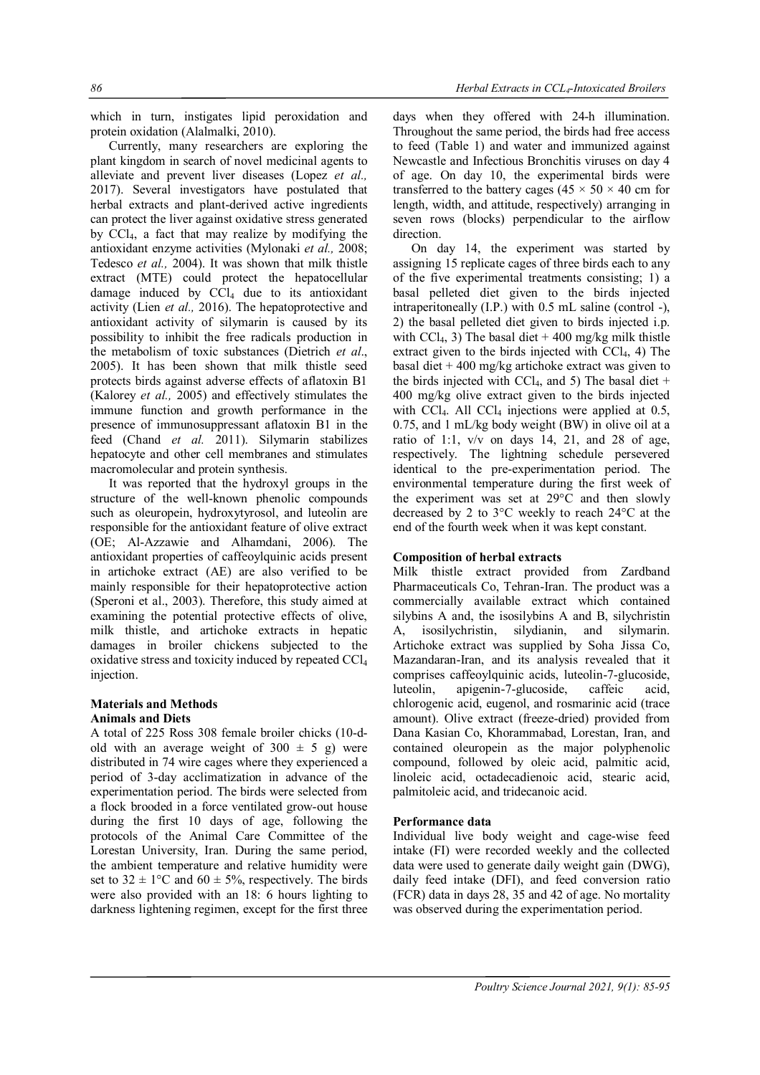which in turn, instigates lipid peroxidation and protein oxidation (Alalmalki, 2010).

Currently, many researchers are exploring the plant kingdom in search of novel medicinal agents to alleviate and prevent liver diseases (Lopez *et al.,* 2017). Several investigators have postulated that herbal extracts and plant-derived active ingredients can protect the liver against oxidative stress generated by CCl4, a fact that may realize by modifying the antioxidant enzyme activities (Mylonaki *et al.,* 2008; Tedesco *et al.,* 2004). It was shown that milk thistle extract (MTE) could protect the hepatocellular damage induced by  $\overrightarrow{CCl}_4$  due to its antioxidant activity (Lien *et al.,* 2016). The hepatoprotective and antioxidant activity of silymarin is caused by its possibility to inhibit the free radicals production in the metabolism of toxic substances (Dietrich *et al*., 2005). It has been shown that milk thistle seed protects birds against adverse effects of aflatoxin B1 (Kalorey *et al.,* 2005) and effectively stimulates the immune function and growth performance in the presence of immunosuppressant aflatoxin B1 in the feed (Chand *et al.* 2011). Silymarin stabilizes hepatocyte and other cell membranes and stimulates macromolecular and protein synthesis.

It was reported that the hydroxyl groups in the structure of the well-known phenolic compounds such as oleuropein, hydroxytyrosol, and luteolin are responsible for the antioxidant feature of olive extract (OE; Al-Azzawie and Alhamdani, 2006). The antioxidant properties of caffeoylquinic acids present in artichoke extract (AE) are also verified to be mainly responsible for their hepatoprotective action (Speroni et al., 2003). Therefore, this study aimed at examining the potential protective effects of olive, milk thistle, and artichoke extracts in hepatic damages in broiler chickens subjected to the oxidative stress and toxicity induced by repeated CCl<sup>4</sup> injection.

#### **Materials and Methods Animals and Diets**

A total of 225 Ross 308 female broiler chicks (10-dold with an average weight of  $300 \pm 5$  g) were distributed in 74 wire cages where they experienced a period of 3-day acclimatization in advance of the experimentation period. The birds were selected from a flock brooded in a force ventilated grow-out house during the first 10 days of age, following the protocols of the Animal Care Committee of the Lorestan University, Iran. During the same period, the ambient temperature and relative humidity were set to  $32 \pm 1$ °C and  $60 \pm 5$ %, respectively. The birds were also provided with an 18: 6 hours lighting to darkness lightening regimen, except for the first three days when they offered with 24-h illumination. Throughout the same period, the birds had free access to feed (Table 1) and water and immunized against Newcastle and Infectious Bronchitis viruses on day 4 of age. On day 10, the experimental birds were transferred to the battery cages ( $45 \times 50 \times 40$  cm for length, width, and attitude, respectively) arranging in seven rows (blocks) perpendicular to the airflow direction.

On day 14, the experiment was started by assigning 15 replicate cages of three birds each to any of the five experimental treatments consisting; 1) a basal pelleted diet given to the birds injected intraperitoneally (I.P.) with 0.5 mL saline (control -), 2) the basal pelleted diet given to birds injected i.p. with CCl<sub>4</sub>, 3) The basal diet  $+400$  mg/kg milk thistle extract given to the birds injected with  $\text{CCl}_4$ , 4) The basal diet  $+400$  mg/kg artichoke extract was given to the birds injected with  $CCl_4$ , and 5) The basal diet + 400 mg/kg olive extract given to the birds injected with  $CCl<sub>4</sub>$ . All  $CCl<sub>4</sub>$  injections were applied at 0.5, 0.75, and 1 mL/kg body weight (BW) in olive oil at a ratio of 1:1,  $v/v$  on days 14, 21, and 28 of age, respectively. The lightning schedule persevered identical to the pre-experimentation period. The environmental temperature during the first week of the experiment was set at 29°C and then slowly decreased by 2 to 3°C weekly to reach 24°C at the end of the fourth week when it was kept constant.

## **Composition of herbal extracts**

Milk thistle extract provided from Zardband Pharmaceuticals Co, Tehran-Iran. The product was a commercially available extract which contained silybins A and, the isosilybins A and B, silychristin A, isosilychristin, silydianin, and silymarin. Artichoke extract was supplied by Soha Jissa Co, Mazandaran-Iran, and its analysis revealed that it comprises caffeoylquinic acids, luteolin-7-glucoside, luteolin, apigenin-7-glucoside, caffeic acid, chlorogenic acid, eugenol, and rosmarinic acid (trace amount). Olive extract (freeze-dried) provided from Dana Kasian Co, Khorammabad, Lorestan, Iran, and contained oleuropein as the major polyphenolic compound, followed by oleic acid, palmitic acid, linoleic acid, octadecadienoic acid, stearic acid, palmitoleic acid, and tridecanoic acid.

## **Performance data**

Individual live body weight and cage-wise feed intake (FI) were recorded weekly and the collected data were used to generate daily weight gain (DWG), daily feed intake (DFI), and feed conversion ratio (FCR) data in days 28, 35 and 42 of age. No mortality was observed during the experimentation period.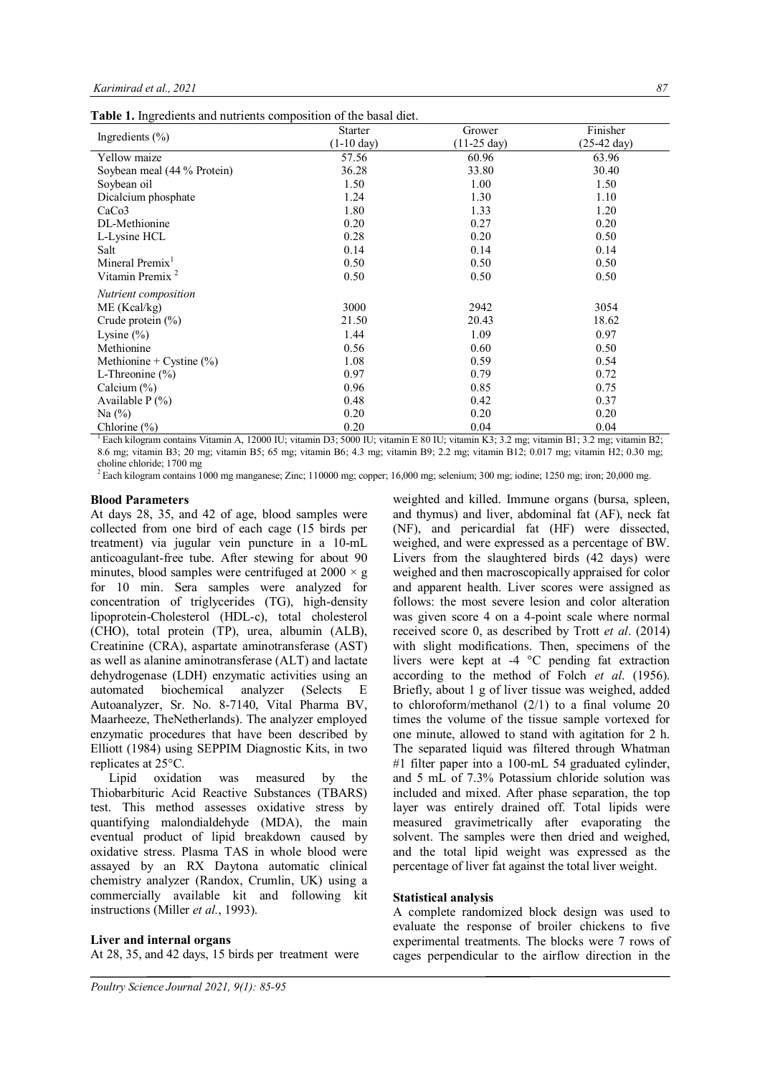**Table 1.** Ingredients and nutrients composition of the basal diet.

|                              | <b>Starter</b>       | Grower                | Finisher              |
|------------------------------|----------------------|-----------------------|-----------------------|
| Ingredients $(\% )$          | $(1-10 \text{ day})$ | $(11-25 \text{ day})$ | $(25-42 \text{ day})$ |
| Yellow maize                 | 57.56                | 60.96                 | 63.96                 |
| Soybean meal (44 % Protein)  | 36.28                | 33.80                 | 30.40                 |
| Soybean oil                  | 1.50                 | 1.00                  | 1.50                  |
| Dicalcium phosphate          | 1.24                 | 1.30                  | 1.10                  |
| CaCo <sub>3</sub>            | 1.80                 | 1.33                  | 1.20                  |
| DL-Methionine                | 0.20                 | 0.27                  | 0.20                  |
| L-Lysine HCL                 | 0.28                 | 0.20                  | 0.50                  |
| Salt                         | 0.14                 | 0.14                  | 0.14                  |
| Mineral Premix <sup>1</sup>  | 0.50                 | 0.50                  | 0.50                  |
| Vitamin Premix <sup>2</sup>  | 0.50                 | 0.50                  | 0.50                  |
| Nutrient composition         |                      |                       |                       |
| ME (Kcal/kg)                 | 3000                 | 2942                  | 3054                  |
| Crude protein $(\%)$         | 21.50                | 20.43                 | 18.62                 |
| Lysine $(\% )$               | 1.44                 | 1.09                  | 0.97                  |
| Methionine                   | 0.56                 | 0.60                  | 0.50                  |
| Methionine + Cystine $(\% )$ | 1.08                 | 0.59                  | 0.54                  |
| L-Threonine $(\% )$          | 0.97                 | 0.79                  | 0.72                  |
| Calcium $(\%)$               | 0.96                 | 0.85                  | 0.75                  |
| Available $P(\% )$           | 0.48                 | 0.42                  | 0.37                  |
| Na $(\%)$                    | 0.20                 | 0.20                  | 0.20                  |
| Chlorine $(\%)$              | 0.20                 | 0.04                  | 0.04                  |

<sup>1</sup>Each kilogram contains Vitamin A, 12000 IU; vitamin D3; 5000 IU; vitamin E 80 IU; vitamin K3; 3.2 mg; vitamin B1; 3.2 mg; vitamin B2; 8.6 mg; vitamin B3; 20 mg; vitamin B5; 65 mg; vitamin B6; 4.3 mg; vitamin B9; 2.2 mg; vitamin B12; 0.017 mg; vitamin H2; 0.30 mg;

choline chloride; 1700 mg <sup>2</sup>Each kilogram contains 1000 mg manganese; Zinc; 110000 mg; copper; 16,000 mg; selenium; 300 mg; iodine; 1250 mg; iron; 20,000 mg.

### **Blood Parameters**

At days 28, 35, and 42 of age, blood samples were collected from one bird of each cage (15 birds per treatment) via jugular vein puncture in a 10-mL anticoagulant-free tube. After stewing for about 90 minutes, blood samples were centrifuged at  $2000 \times g$ for 10 min. Sera samples were analyzed for concentration of triglycerides (TG), high-density lipoprotein-Cholesterol (HDL-c), total cholesterol (CHO), total protein (TP), urea, albumin (ALB), Creatinine (CRA), aspartate aminotransferase (AST) as well as alanine aminotransferase (ALT) and lactate dehydrogenase (LDH) enzymatic activities using an automated biochemical analyzer (Selects E automated biochemical analyzer (Selects E Autoanalyzer, Sr. No. 8-7140, Vital Pharma BV, Maarheeze, TheNetherlands). The analyzer employed enzymatic procedures that have been described by Elliott (1984) using SEPPIM Diagnostic Kits, in two replicates at 25°C.

Lipid oxidation was measured by the Thiobarbituric Acid Reactive Substances (TBARS) test. This method assesses oxidative stress by quantifying malondialdehyde (MDA), the main eventual product of lipid breakdown caused by oxidative stress. Plasma TAS in whole blood were assayed by an RX Daytona automatic clinical chemistry analyzer (Randox, Crumlin, UK) using a commercially available kit and following kit instructions (Miller *et al.*, 1993).

### **Liver and internal organs**

At 28, 35, and 42 days, 15 birds per treatment were

weighted and killed. Immune organs (bursa, spleen, and thymus) and liver, abdominal fat (AF), neck fat (NF), and pericardial fat (HF) were dissected, weighed, and were expressed as a percentage of BW. Livers from the slaughtered birds (42 days) were weighed and then macroscopically appraised for color and apparent health. Liver scores were assigned as follows: the most severe lesion and color alteration was given score 4 on a 4-point scale where normal received score 0, as described by Trott *et al*. (2014) with slight modifications. Then, specimens of the livers were kept at -4 °C pending fat extraction according to the method of Folch *et al*. (1956). Briefly, about 1 g of liver tissue was weighed, added to chloroform/methanol (2/1) to a final volume 20 times the volume of the tissue sample vortexed for one minute, allowed to stand with agitation for 2 h. The separated liquid was filtered through Whatman #1 filter paper into a 100-mL 54 graduated cylinder, and 5 mL of 7.3% Potassium chloride solution was included and mixed. After phase separation, the top layer was entirely drained off. Total lipids were measured gravimetrically after evaporating the solvent. The samples were then dried and weighed, and the total lipid weight was expressed as the percentage of liver fat against the total liver weight.

### **Statistical analysis**

A complete randomized block design was used to evaluate the response of broiler chickens to five experimental treatments. The blocks were 7 rows of cages perpendicular to the airflow direction in the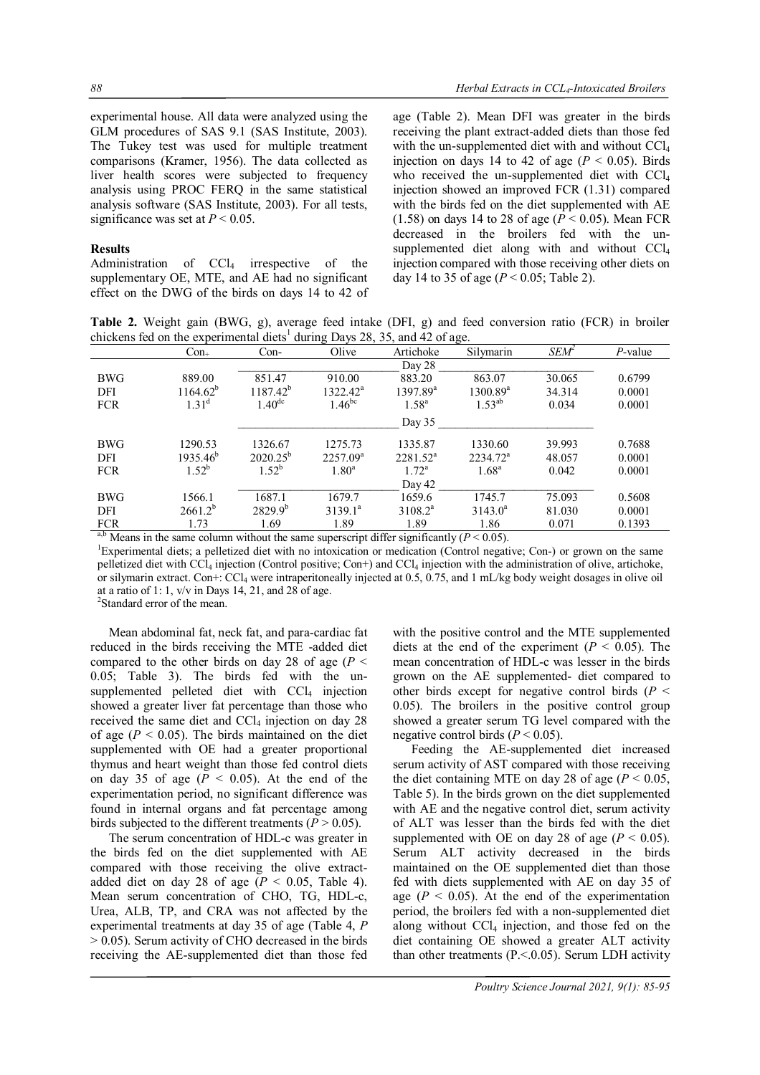experimental house. All data were analyzed using the GLM procedures of SAS 9.1 (SAS Institute, 2003). The Tukey test was used for multiple treatment comparisons (Kramer, 1956). The data collected as liver health scores were subjected to frequency analysis using PROC FERQ in the same statistical analysis software (SAS Institute, 2003). For all tests, significance was set at  $P \le 0.05$ .

#### **Results**

Administration of  $CCl<sub>4</sub>$  irrespective of the supplementary OE, MTE, and AE had no significant effect on the DWG of the birds on days 14 to 42 of age (Table 2). Mean DFI was greater in the birds receiving the plant extract-added diets than those fed with the un-supplemented diet with and without CCl<sub>4</sub> injection on days 14 to 42 of age  $(P < 0.05)$ . Birds who received the un-supplemented diet with CCl<sub>4</sub> injection showed an improved FCR (1.31) compared with the birds fed on the diet supplemented with AE (1.58) on days 14 to 28 of age (*P* < 0.05). Mean FCR decreased in the broilers fed with the unsupplemented diet along with and without CCl<sub>4</sub> injection compared with those receiving other diets on day 14 to 35 of age ( $P < 0.05$ ; Table 2).

**Table 2.** Weight gain (BWG, g), average feed intake (DFI, g) and feed conversion ratio (FCR) in broiler chickens fed on the experimental diets<sup>1</sup> during Days 28, 35, and 42 of age.

|            | $Con_{+}$                                                                                 | $Con-$             | Olive       | Artichoke      | Silymarin            | $SEM^2$ | $P$ -value |  |  |  |
|------------|-------------------------------------------------------------------------------------------|--------------------|-------------|----------------|----------------------|---------|------------|--|--|--|
|            |                                                                                           |                    |             | Day 28         |                      |         |            |  |  |  |
| <b>BWG</b> | 889.00                                                                                    | 851.47             | 910.00      | 883.20         | 863.07               | 30.065  | 0.6799     |  |  |  |
| DFI        | $1164.62^b$                                                                               | $1187.42^{b}$      | $1322.42^a$ | $1397.89^a$    | $1300.89^{\text{a}}$ | 34.314  | 0.0001     |  |  |  |
| <b>FCR</b> | $1.31^{d}$                                                                                | 1.40 <sup>dc</sup> | $1.46^{bc}$ | $1.58^{a}$     | $1.53^{ab}$          | 0.034   | 0.0001     |  |  |  |
|            |                                                                                           |                    |             | Day $35$       |                      |         |            |  |  |  |
| <b>BWG</b> | 1290.53                                                                                   | 1326.67            | 1275.73     | 1335.87        | 1330.60              | 39.993  | 0.7688     |  |  |  |
| DFI        | $1935.46^b$                                                                               | $2020.25^{b}$      | $2257.09^a$ | $2281.52^a$    | $2234.72^a$          | 48.057  | 0.0001     |  |  |  |
| <b>FCR</b> | $1.52^b$                                                                                  | $1.52^{b}$         | $1.80^a$    | $1.72^{\rm a}$ | $1.68^{a}$           | 0.042   | 0.0001     |  |  |  |
|            |                                                                                           |                    |             | Day 42         |                      |         |            |  |  |  |
| <b>BWG</b> | 1566.1                                                                                    | 1687.1             | 1679.7      | 1659.6         | 1745.7               | 75.093  | 0.5608     |  |  |  |
| <b>DFI</b> | $2661.2^{b}$                                                                              | $2829.9^{b}$       | $3139.1^a$  | $3108.2^a$     | $3143.0^a$           | 81.030  | 0.0001     |  |  |  |
| <b>FCR</b> | 1.73                                                                                      | 1.69               | 1.89        | 1.89           | 1.86                 | 0.071   | 0.1393     |  |  |  |
|            | ab Means in the same solumn without the same supercript differ significantly $(D < 0.05)$ |                    |             |                |                      |         |            |  |  |  |

Means in the same column without the same superscript differ significantly  $(P < 0.05)$ .

<sup>1</sup>Experimental diets; a pelletized diet with no intoxication or medication (Control negative; Con-) or grown on the same pelletized diet with CCl<sub>4</sub> injection (Control positive; Con+) and CCl<sub>4</sub> injection with the administration of olive, artichoke, or silymarin extract. Con+: CCl<sup>4</sup> were intraperitoneally injected at 0.5, 0.75, and 1 mL/kg body weight dosages in olive oil at a ratio of 1: 1,  $v/v$  in Days 14, 21, and 28 of age.

2 Standard error of the mean.

Mean abdominal fat, neck fat, and para-cardiac fat reduced in the birds receiving the MTE -added diet compared to the other birds on day 28 of age ( $P <$ 0.05; Table 3). The birds fed with the unsupplemented pelleted diet with  $CCl<sub>4</sub>$  injection showed a greater liver fat percentage than those who received the same diet and  $CCl<sub>4</sub>$  injection on day 28 of age  $(P < 0.05)$ . The birds maintained on the diet supplemented with OE had a greater proportional thymus and heart weight than those fed control diets on day 35 of age  $(P < 0.05)$ . At the end of the experimentation period, no significant difference was found in internal organs and fat percentage among birds subjected to the different treatments  $(P > 0.05)$ .

The serum concentration of HDL-c was greater in the birds fed on the diet supplemented with AE compared with those receiving the olive extractadded diet on day 28 of age  $(P < 0.05,$  Table 4). Mean serum concentration of CHO, TG, HDL-c, Urea, ALB, TP, and CRA was not affected by the experimental treatments at day 35 of age (Table 4, *P*  > 0.05). Serum activity of CHO decreased in the birds receiving the AE-supplemented diet than those fed with the positive control and the MTE supplemented diets at the end of the experiment  $(P < 0.05)$ . The mean concentration of HDL-c was lesser in the birds grown on the AE supplemented- diet compared to other birds except for negative control birds (*P* < 0.05). The broilers in the positive control group showed a greater serum TG level compared with the negative control birds  $(P < 0.05)$ .

Feeding the AE-supplemented diet increased serum activity of AST compared with those receiving the diet containing MTE on day 28 of age ( $P < 0.05$ ) Table 5). In the birds grown on the diet supplemented with AE and the negative control diet, serum activity of ALT was lesser than the birds fed with the diet supplemented with OE on day 28 of age ( $P < 0.05$ ). Serum ALT activity decreased in the birds maintained on the OE supplemented diet than those fed with diets supplemented with AE on day 35 of age ( $P < 0.05$ ). At the end of the experimentation period, the broilers fed with a non-supplemented diet along without  $CCl<sub>4</sub>$  injection, and those fed on the diet containing OE showed a greater ALT activity than other treatments  $(P \le 0.05)$ . Serum LDH activity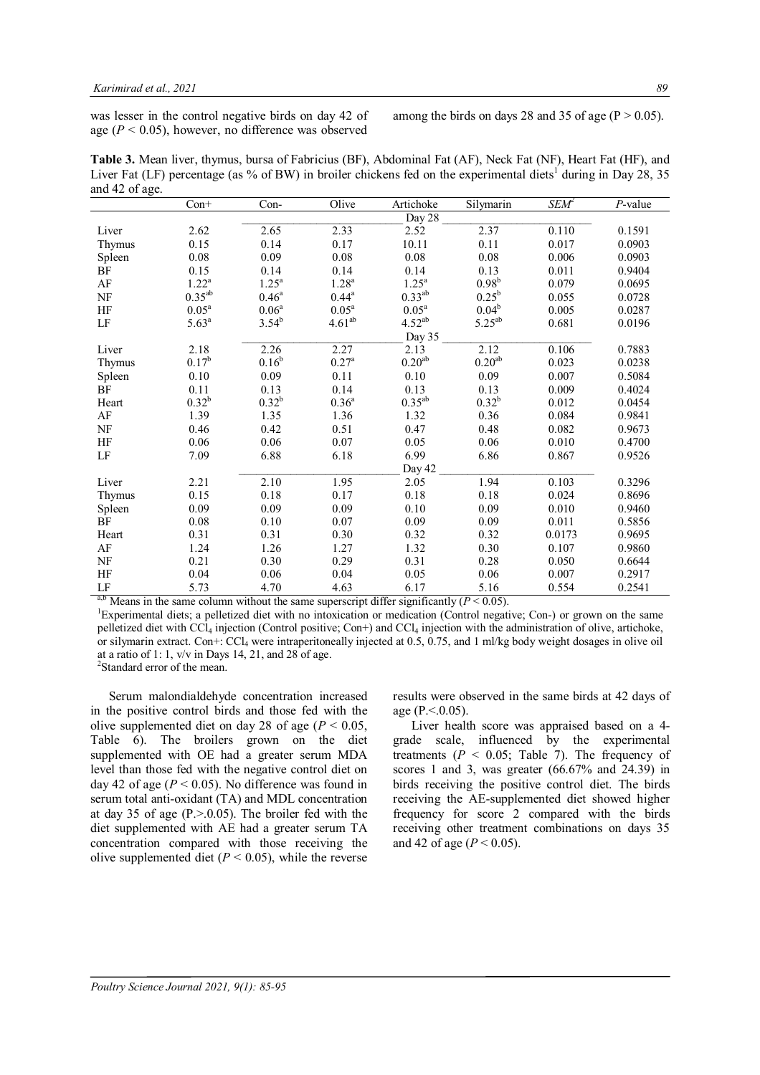was lesser in the control negative birds on day 42 of age  $(P < 0.05)$ , however, no difference was observed

among the birds on days 28 and 35 of age ( $P > 0.05$ ).

**Table 3.** Mean liver, thymus, bursa of Fabricius (BF), Abdominal Fat (AF), Neck Fat (NF), Heart Fat (HF), and Liver Fat (LF) percentage (as % of BW) in broiler chickens fed on the experimental diets<sup>1</sup> during in Day 28, 35 and 42 of age.

|                    | $Con+$         | Con-              | Olive              | Artichoke         | Silymarin          | $SEM^2$ | $P$ -value |
|--------------------|----------------|-------------------|--------------------|-------------------|--------------------|---------|------------|
|                    |                |                   |                    | Day 28            |                    |         |            |
| Liver              | 2.62           | 2.65              | 2.33               | 2.52              | 2.37               | 0.110   | 0.1591     |
| Thymus             | 0.15           | 0.14              | 0.17               | 10.11             | 0.11               | 0.017   | 0.0903     |
| Spleen             | 0.08           | 0.09              | 0.08               | 0.08              | 0.08               | 0.006   | 0.0903     |
| BF                 | 0.15           | 0.14              | 0.14               | 0.14              | 0.13               | 0.011   | 0.9404     |
| AF                 | $1.22^a$       | $1.25^{\text{a}}$ | $1.28^{a}$         | $1.25^a$          | $0.98^{b}$         | 0.079   | 0.0695     |
| NF                 | $0.35^{ab}$    | $0.46^{\rm a}$    | $0.44^{\rm a}$     | $0.33^{ab}$       | $0.25^{\rm b}$     | 0.055   | 0.0728     |
| <b>HF</b>          | $0.05^{\rm a}$ | 0.06 <sup>a</sup> | $0.05^{\rm a}$     | 0.05 <sup>a</sup> | $0.04^b$           | 0.005   | 0.0287     |
| LF                 | $5.63^{a}$     | $3.54^{b}$        | 4.61 <sup>ab</sup> | $4.52^{ab}$       | $5.25^{ab}$        | 0.681   | 0.0196     |
|                    |                |                   |                    | Day 35            |                    |         |            |
| Liver              | 2.18           | 2.26              | 2.27               | 2.13              | 2.12               | 0.106   | 0.7883     |
| Thymus             | $0.17^{\rm b}$ | $0.16^{b}$        | $0.27^{\rm a}$     | $0.20^{\rm ab}$   | 0.20 <sup>ab</sup> | 0.023   | 0.0238     |
| Spleen             | 0.10           | 0.09              | 0.11               | 0.10              | 0.09               | 0.007   | 0.5084     |
| BF                 | 0.11           | 0.13              | 0.14               | 0.13              | 0.13               | 0.009   | 0.4024     |
| Heart              | $0.32^{b}$     | $0.32^{b}$        | $0.36^{a}$         | $0.35^{ab}$       | $0.32^{b}$         | 0.012   | 0.0454     |
| $\rm AF$           | 1.39           | 1.35              | 1.36               | 1.32              | 0.36               | 0.084   | 0.9841     |
| NF                 | 0.46           | 0.42              | 0.51               | 0.47              | 0.48               | 0.082   | 0.9673     |
| HF                 | 0.06           | 0.06              | 0.07               | 0.05              | 0.06               | 0.010   | 0.4700     |
| LF                 | 7.09           | 6.88              | 6.18               | 6.99              | 6.86               | 0.867   | 0.9526     |
|                    |                |                   |                    | Day 42            |                    |         |            |
| Liver              | 2.21           | 2.10              | 1.95               | 2.05              | 1.94               | 0.103   | 0.3296     |
| Thymus             | 0.15           | 0.18              | 0.17               | 0.18              | 0.18               | 0.024   | 0.8696     |
| Spleen             | 0.09           | 0.09              | 0.09               | 0.10              | 0.09               | 0.010   | 0.9460     |
| BF                 | 0.08           | 0.10              | 0.07               | 0.09              | 0.09               | 0.011   | 0.5856     |
| Heart              | 0.31           | 0.31              | 0.30               | 0.32              | 0.32               | 0.0173  | 0.9695     |
| $\rm AF$           | 1.24           | 1.26              | 1.27               | 1.32              | 0.30               | 0.107   | 0.9860     |
| $\rm{NF}$          | 0.21           | 0.30              | 0.29               | 0.31              | 0.28               | 0.050   | 0.6644     |
| HF                 | 0.04           | 0.06              | 0.04               | 0.05              | 0.06               | 0.007   | 0.2917     |
| $\rm LF$<br>$9h -$ | 5.73           | 4.70              | 4.63               | 6.17              | 5.16               | 0.554   | 0.2541     |

<sup>a,b</sup> Means in the same column without the same superscript differ significantly ( $P < 0.05$ ).

<sup>1</sup>Experimental diets; a pelletized diet with no intoxication or medication (Control negative; Con-) or grown on the same pelletized diet with CCl<sub>4</sub> injection (Control positive; Con+) and CCl<sub>4</sub> injection with the administration of olive, artichoke, or silymarin extract. Con+: CCl<sup>4</sup> were intraperitoneally injected at 0.5, 0.75, and 1 ml/kg body weight dosages in olive oil at a ratio of 1: 1,  $v/v$  in Days 14, 21, and 28 of age.

2 Standard error of the mean.

Serum malondialdehyde concentration increased in the positive control birds and those fed with the olive supplemented diet on day 28 of age ( $P < 0.05$ , Table 6). The broilers grown on the diet supplemented with OE had a greater serum MDA level than those fed with the negative control diet on day 42 of age  $(P < 0.05)$ . No difference was found in serum total anti-oxidant (TA) and MDL concentration at day 35 of age  $(P > 0.05)$ . The broiler fed with the diet supplemented with AE had a greater serum TA concentration compared with those receiving the olive supplemented diet  $(P < 0.05)$ , while the reverse

results were observed in the same birds at 42 days of age  $(P<.0.05)$ .

Liver health score was appraised based on a 4 grade scale, influenced by the experimental treatments  $(P < 0.05$ ; Table 7). The frequency of scores 1 and 3, was greater (66.67% and 24.39) in birds receiving the positive control diet. The birds receiving the AE-supplemented diet showed higher frequency for score 2 compared with the birds receiving other treatment combinations on days 35 and 42 of age (*P* < 0.05).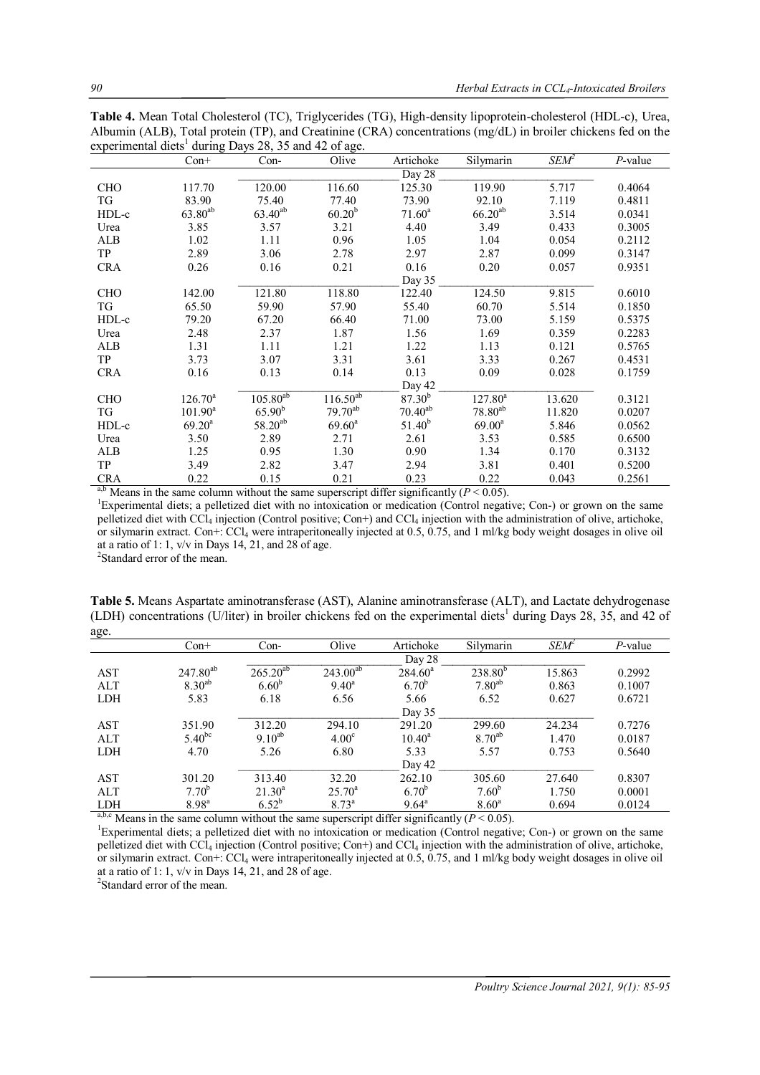**Table 4.** Mean Total Cholesterol (TC), Triglycerides (TG), High-density lipoprotein-cholesterol (HDL-c), Urea, Albumin (ALB), Total protein (TP), and Creatinine (CRA) concentrations (mg/dL) in broiler chickens fed on the experimental diets<sup>1</sup> during Days 28, 35 and 42 of age.

|                        | $Con+$       | $Con-$        | Olive              | Artichoke    | Silymarin    | $SEM^2$ | $P$ -value |
|------------------------|--------------|---------------|--------------------|--------------|--------------|---------|------------|
|                        |              |               |                    | Day 28       |              |         |            |
| <b>CHO</b>             | 117.70       | 120.00        | 116.60             | 125.30       | 119.90       | 5.717   | 0.4064     |
| TG                     | 83.90        | 75.40         | 77.40              | 73.90        | 92.10        | 7.119   | 0.4811     |
| HDL-c                  | $63.80^{ab}$ | $63.40^{ab}$  | 60.20 <sup>b</sup> | $71.60^a$    | $66.20^{ab}$ | 3.514   | 0.0341     |
| Urea                   | 3.85         | 3.57          | 3.21               | 4.40         | 3.49         | 0.433   | 0.3005     |
| ALB                    | 1.02         | 1.11          | 0.96               | 1.05         | 1.04         | 0.054   | 0.2112     |
| <b>TP</b>              | 2.89         | 3.06          | 2.78               | 2.97         | 2.87         | 0.099   | 0.3147     |
| <b>CRA</b>             | 0.26         | 0.16          | 0.21               | 0.16         | 0.20         | 0.057   | 0.9351     |
|                        |              |               |                    | Day 35       |              |         |            |
| <b>CHO</b>             | 142.00       | 121.80        | 118.80             | 122.40       | 124.50       | 9.815   | 0.6010     |
| TG                     | 65.50        | 59.90         | 57.90              | 55.40        | 60.70        | 5.514   | 0.1850     |
| HDL-c                  | 79.20        | 67.20         | 66.40              | 71.00        | 73.00        | 5.159   | 0.5375     |
| Urea                   | 2.48         | 2.37          | 1.87               | 1.56         | 1.69         | 0.359   | 0.2283     |
| ALB                    | 1.31         | 1.11          | 1.21               | 1.22         | 1.13         | 0.121   | 0.5765     |
| <b>TP</b>              | 3.73         | 3.07          | 3.31               | 3.61         | 3.33         | 0.267   | 0.4531     |
| <b>CRA</b>             | 0.16         | 0.13          | 0.14               | 0.13         | 0.09         | 0.028   | 0.1759     |
|                        |              |               |                    | Day 42       |              |         |            |
| <b>CHO</b>             | $126.70^a$   | $105.80^{ab}$ | $116.50^{ab}$      | $87.30^{b}$  | $127.80^{a}$ | 13.620  | 0.3121     |
| TG                     | $101.90^a$   | $65.90^{b}$   | $79.70^{ab}$       | $70.40^{ab}$ | $78.80^{ab}$ | 11.820  | 0.0207     |
| HDL-c                  | $69.20^a$    | $58.20^{ab}$  | $69.60^{\rm a}$    | $51.40^{b}$  | $69.00^a$    | 5.846   | 0.0562     |
| Urea                   | 3.50         | 2.89          | 2.71               | 2.61         | 3.53         | 0.585   | 0.6500     |
| <b>ALB</b>             | 1.25         | 0.95          | 1.30               | 0.90         | 1.34         | 0.170   | 0.3132     |
| <b>TP</b>              | 3.49         | 2.82          | 3.47               | 2.94         | 3.81         | 0.401   | 0.5200     |
| <b>CRA</b><br>$ah - c$ | 0.22         | 0.15          | 0.21               | 0.23         | 0.22         | 0.043   | 0.2561     |

<sup>a,b</sup> Means in the same column without the same superscript differ significantly ( $P < 0.05$ ).

<sup>1</sup>Experimental diets; a pelletized diet with no intoxication or medication (Control negative; Con-) or grown on the same pelletized diet with CCl<sub>4</sub> injection (Control positive; Con+) and CCl<sub>4</sub> injection with the administration of olive, artichoke, or silymarin extract. Con+: CCl<sub>4</sub> were intraperitoneally injected at  $0.5$ ,  $0.75$ , and 1 ml/kg body weight dosages in olive oil at a ratio of 1: 1,  $v/v$  in Days 14, 21, and 28 of age.

<sup>2</sup>Standard error of the mean.

**Table 5.** Means Aspartate aminotransferase (AST), Alanine aminotransferase (ALT), and Lactate dehydrogenase (LDH) concentrations (U/liter) in broiler chickens fed on the experimental diets<sup>1</sup> during Days 28, 35, and 42 of age.

| --0        |                                                                                                                                                                                                                                                               |               |                   |                  |                |                         |            |  |  |  |
|------------|---------------------------------------------------------------------------------------------------------------------------------------------------------------------------------------------------------------------------------------------------------------|---------------|-------------------|------------------|----------------|-------------------------|------------|--|--|--|
|            | $Con+$                                                                                                                                                                                                                                                        | $Con-$        | Olive             | Artichoke        | Silymarin      | <i>SEM</i> <sup>2</sup> | $P$ -value |  |  |  |
|            |                                                                                                                                                                                                                                                               | Day 28        |                   |                  |                |                         |            |  |  |  |
| <b>AST</b> | $247.80^{ab}$                                                                                                                                                                                                                                                 | $265.20^{ab}$ | $243.00^{ab}$     | $284.60^{\circ}$ | $238.80^{b}$   | 15.863                  | 0.2992     |  |  |  |
| <b>ALT</b> | $8.30^{ab}$                                                                                                                                                                                                                                                   | $6.60^{b}$    | $9.40^{\circ}$    | $6.70^{b}$       | $7.80^{ab}$    | 0.863                   | 0.1007     |  |  |  |
| <b>LDH</b> | 5.83                                                                                                                                                                                                                                                          | 6.18          | 6.56              | 5.66             | 6.52           | 0.627                   | 0.6721     |  |  |  |
|            |                                                                                                                                                                                                                                                               |               |                   | Day 35           |                |                         |            |  |  |  |
| <b>AST</b> | 351.90                                                                                                                                                                                                                                                        | 312.20        | 294.10            | 291.20           | 299.60         | 24.234                  | 0.7276     |  |  |  |
| <b>ALT</b> | $5.40^{bc}$                                                                                                                                                                                                                                                   | $9.10^{ab}$   | 4.00 <sup>c</sup> | $10.40^{\rm a}$  | $8.70^{ab}$    | 1.470                   | 0.0187     |  |  |  |
| <b>LDH</b> | 4.70                                                                                                                                                                                                                                                          | 5.26          | 6.80              | 5.33             | 5.57           | 0.753                   | 0.5640     |  |  |  |
|            |                                                                                                                                                                                                                                                               |               |                   | Day 42           |                |                         |            |  |  |  |
| <b>AST</b> | 301.20                                                                                                                                                                                                                                                        | 313.40        | 32.20             | 262.10           | 305.60         | 27.640                  | 0.8307     |  |  |  |
| ATT        | $7.70^{\rm b}$                                                                                                                                                                                                                                                | $21.30^a$     | $25.70^{\circ}$   | $6.70^{b}$       | $7.60^{b}$     | 1.750                   | 0.0001     |  |  |  |
| <b>LDH</b> | $8.98^{a}$                                                                                                                                                                                                                                                    | $6.52^{b}$    | $8.73^{\rm a}$    | $9.64^{\circ}$   | $8.60^{\rm a}$ | 0.694                   | 0.0124     |  |  |  |
|            | $abc$ $M_1$ , $a_1$ , $b_2$ , $c_3$ , $d_4$ , $d_5$ , $d_6$ , $d_7$ , $d_8$ , $d_9$ , $d_9$ , $d_9$ , $d_9$ , $d_9$ , $d_9$ , $d_9$ , $d_9$ , $d_9$ , $d_9$ , $d_9$ , $d_9$ , $d_9$ , $d_9$ , $d_9$ , $d_9$ , $d_9$ , $d_9$ , $d_9$ , $d_9$ , $d_9$ , $d_9$ , |               |                   |                  |                |                         |            |  |  |  |

 $a,b,c$  Means in the same column without the same superscript differ significantly ( $P < 0.05$ ). <sup>1</sup>Experimental diets; a pelletized diet with no intoxication or medication (Control negative; Con-) or grown on the same pelletized diet with CCl<sub>4</sub> injection (Control positive; Con+) and CCl<sub>4</sub> injection with the administration of olive, artichoke, or silymarin extract. Con+: CCl<sub>4</sub> were intraperitoneally injected at 0.5, 0.75, and 1 ml/kg body weight dosages in olive oil at a ratio of 1: 1,  $v/v$  in Days 14, 21, and 28 of age.

2 Standard error of the mean.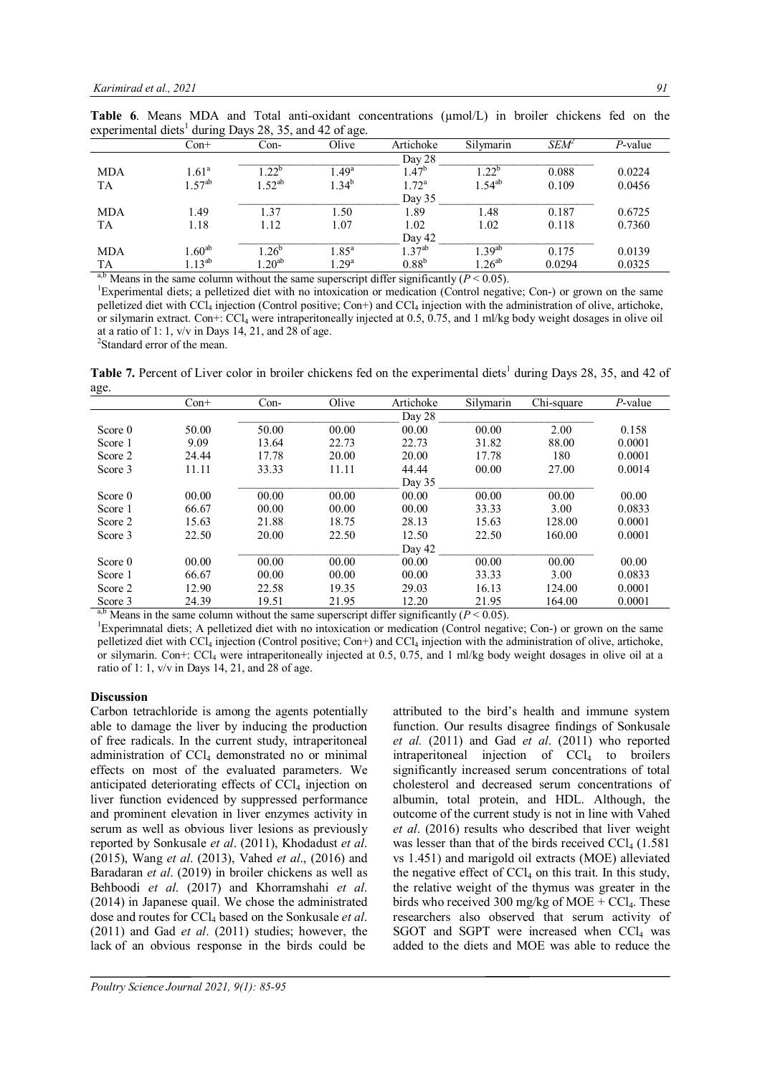|                            | $Con+$         | Con-        | Olive          | Artichoke      | Silymarin   | $SEM^2$ | P-value |
|----------------------------|----------------|-------------|----------------|----------------|-------------|---------|---------|
|                            |                |             |                | Day 28         |             |         |         |
| <b>MDA</b>                 | $1.61^{\circ}$ | $1.22^{b}$  | $1.49^{\rm a}$ | $1.47^{\circ}$ | $1.22^{b}$  | 0.088   | 0.0224  |
| <b>TA</b>                  | $1.57^{ab}$    | $1.52^{ab}$ | $1.34^{b}$     | $1.72^{\rm a}$ | $1.54^{ab}$ | 0.109   | 0.0456  |
|                            |                |             |                | Day 35         |             |         |         |
| <b>MDA</b>                 | 1.49           | 1.37        | 1.50           | 1.89           | 1.48        | 0.187   | 0.6725  |
| TA                         | 1.18           | 1.12        | 1.07           | 1.02           | 1.02        | 0.118   | 0.7360  |
|                            |                |             |                | Day 42         |             |         |         |
| <b>MDA</b>                 | $1.60^{ab}$    | $1.26^{b}$  | $1.85^{\rm a}$ | $1.37^{ab}$    | 1 39ab      | 0.175   | 0.0139  |
| TA                         |                | $1.20^{ab}$ | $1.29^{a}$     | $0.88^{b}$     |             | 0.0294  | 0.0325  |
| $\sim$ 1. $\sim$ 1. $\sim$ | $1.13^{ab}$    |             |                |                | $1.26^{ab}$ |         |         |

**Table 6.** Means MDA and Total anti-oxidant concentrations ( $\mu$ mol/L) in broiler chickens fed on the experimental diets<sup>1</sup> during Days 28, 35, and 42 of age.

<sup>a,b</sup> Means in the same column without the same superscript differ significantly ( $P < 0.05$ ).

<sup>1</sup>Experimental diets; a pelletized diet with no intoxication or medication (Control negative; Con-) or grown on the same pelletized diet with CCl<sup>4</sup> injection (Control positive; Con+) and CCl<sup>4</sup> injection with the administration of olive, artichoke, or silymarin extract. Con+:  $\text{CCl}_4$  were intraperitoneally injected at 0.5, 0.75, and 1 ml/kg body weight dosages in olive oil at a ratio of 1: 1,  $v/v$  in Days 14, 21, and 28 of age.

2 Standard error of the mean.

Table 7. Percent of Liver color in broiler chickens fed on the experimental diets<sup>1</sup> during Days 28, 35, and 42 of age.

| ۰ ت                    | $Con+$       | $Con-$         | Olive    | Artichoke                   | Silymarin                                 | Chi-square | P-value |
|------------------------|--------------|----------------|----------|-----------------------------|-------------------------------------------|------------|---------|
|                        |              |                |          | Day 28                      |                                           |            |         |
| Score 0                | 50.00        | 50.00          | 00.00    | 00.00                       | 00.00                                     | 2.00       | 0.158   |
| Score 1                | 9.09         | 13.64          | 22.73    | 22.73                       | 31.82                                     | 88.00      | 0.0001  |
| Score 2                | 24.44        | 17.78          | 20.00    | 20.00                       | 17.78                                     | 180        | 0.0001  |
| Score 3                | 11.11        | 33.33          | 11.11    | 44.44                       | 00.00                                     | 27.00      | 0.0014  |
|                        |              |                |          | Day $35$                    |                                           |            |         |
| Score 0                | 00.00        | 00.00          | 00.00    | 00.00                       | 00.00                                     | 00.00      | 00.00   |
| Score 1                | 66.67        | 00.00          | 00.00    | 00.00                       | 33.33                                     | 3.00       | 0.0833  |
| Score 2                | 15.63        | 21.88          | 18.75    | 28.13                       | 15.63                                     | 128.00     | 0.0001  |
| Score 3                | 22.50        | 20.00          | 22.50    | 12.50                       | 22.50                                     | 160.00     | 0.0001  |
|                        |              |                |          | Day 42                      |                                           |            |         |
| Score 0                | 00.00        | 00.00          | 00.00    | 00.00                       | 00.00                                     | 00.00      | 00.00   |
| Score 1                | 66.67        | 00.00          | 00.00    | 00.00                       | 33.33                                     | 3.00       | 0.0833  |
| Score 2                | 12.90        | 22.58          | 19.35    | 29.03                       | 16.13                                     | 124.00     | 0.0001  |
| Score 3                | 24.39        | 19.51          | 21.95    | 12.20                       | 21.95                                     | 164.00     | 0.0001  |
| ahx<br>$\cdot$ $\cdot$ | $\mathbf{I}$ | $\cdot$<br>. 1 | $\cdots$ | $\cdot$ $\sim$<br>$\cdot$ 1 | $\sqrt{D}$<br>$\sim$ $\sim$ $\sim$ $\sim$ |            |         |

Means in the same column without the same superscript differ significantly  $(P < 0.05)$ . <sup>1</sup>Experimnatal diets; A pelletized diet with no intoxication or medication (Control negative; Con-) or grown on the same pelletized diet with CCl<sub>4</sub> injection (Control positive; Con+) and CCl<sub>4</sub> injection with the administration of olive, artichoke, or silymarin. Con+: CCl<sup>4</sup> were intraperitoneally injected at 0.5, 0.75, and 1 ml/kg body weight dosages in olive oil at a ratio of 1: 1,  $v/v$  in Days 14, 21, and 28 of age.

## **Discussion**

Carbon tetrachloride is among the agents potentially able to damage the liver by inducing the production of free radicals. In the current study, intraperitoneal administration of CCl<sub>4</sub> demonstrated no or minimal effects on most of the evaluated parameters. We anticipated deteriorating effects of  $CCl<sub>4</sub>$  injection on liver function evidenced by suppressed performance and prominent elevation in liver enzymes activity in serum as well as obvious liver lesions as previously reported by Sonkusale *et al*. (2011), Khodadust *et al*. (2015), Wang *et al*. (2013), Vahed *et al*., (2016) and Baradaran *et al*. (2019) in broiler chickens as well as Behboodi *et al*. (2017) and Khorramshahi *et al*. (2014) in Japanese quail. We chose the administrated dose and routes for CCl<sup>4</sup> based on the Sonkusale *et al*. (2011) and Gad *et al*. (2011) studies; however, the lack of an obvious response in the birds could be

attributed to the bird's health and immune system function. Our results disagree findings of Sonkusale *et al.* (2011) and Gad *et al*. (2011) who reported intraperitoneal injection of CCl<sup>4</sup> to broilers significantly increased serum concentrations of total cholesterol and decreased serum concentrations of albumin, total protein, and HDL. Although, the outcome of the current study is not in line with Vahed *et al*. (2016) results who described that liver weight was lesser than that of the birds received  $\text{CCl}_4$  (1.581) vs 1.451) and marigold oil extracts (MOE) alleviated the negative effect of  $CCl<sub>4</sub>$  on this trait. In this study, the relative weight of the thymus was greater in the birds who received 300 mg/kg of MOE +  $CCl<sub>4</sub>$ . These researchers also observed that serum activity of SGOT and SGPT were increased when  $CCL$  was added to the diets and MOE was able to reduce the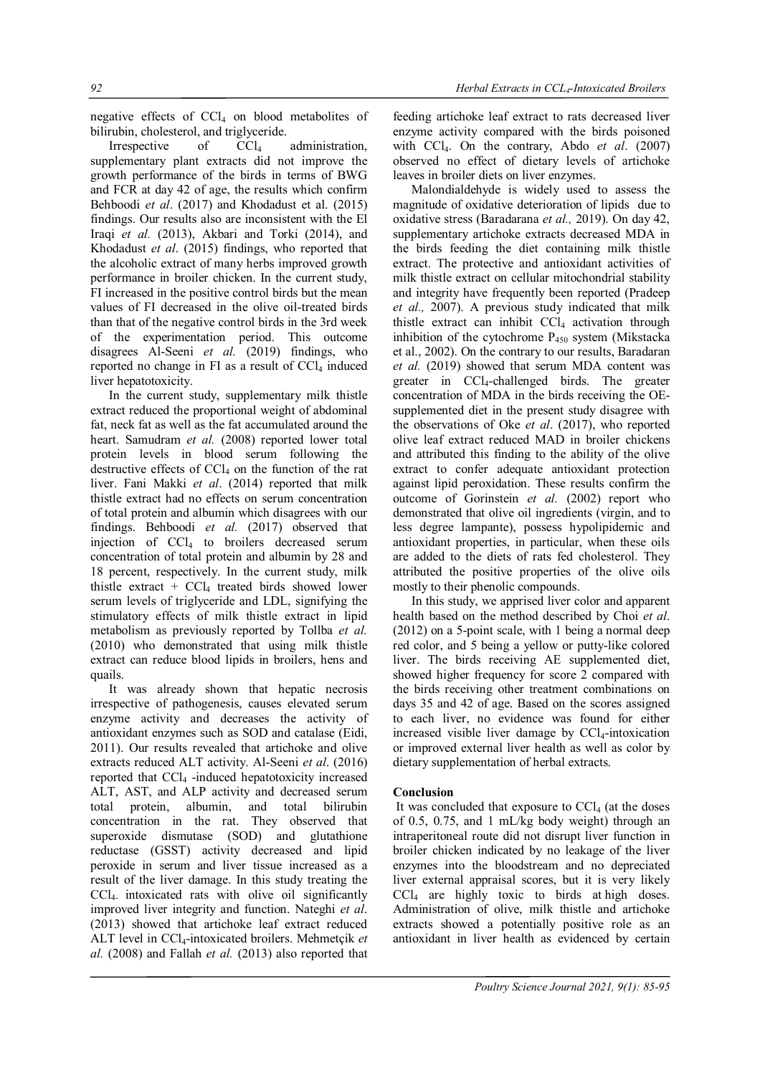negative effects of  $CCl<sub>4</sub>$  on blood metabolites of bilirubin, cholesterol, and triglyceride.

Irrespective of  $CCl_4$  administration, supplementary plant extracts did not improve the growth performance of the birds in terms of BWG and FCR at day 42 of age, the results which confirm Behboodi *et al*. (2017) and Khodadust et al. (2015) findings. Our results also are inconsistent with the El Iraqi *et al.* (2013), Akbari and Torki (2014), and Khodadust *et al*. (2015) findings, who reported that the alcoholic extract of many herbs improved growth performance in broiler chicken. In the current study, FI increased in the positive control birds but the mean values of FI decreased in the olive oil-treated birds than that of the negative control birds in the 3rd week of the experimentation period. This outcome disagrees Al-Seeni *et al.* (2019) findings, who reported no change in FI as a result of  $CCl<sub>4</sub>$  induced liver hepatotoxicity.

In the current study, supplementary milk thistle extract reduced the proportional weight of abdominal fat, neck fat as well as the fat accumulated around the heart. Samudram *et al.* (2008) reported lower total protein levels in blood serum following the destructive effects of  $CCL<sub>4</sub>$  on the function of the rat liver. Fani Makki *et al*. (2014) reported that milk thistle extract had no effects on serum concentration of total protein and albumin which disagrees with our findings. Behboodi *et al.* (2017) observed that injection of  $CCl<sub>4</sub>$  to broilers decreased serum concentration of total protein and albumin by 28 and 18 percent, respectively. In the current study, milk thistle extract +  $CCl<sub>4</sub>$  treated birds showed lower serum levels of triglyceride and LDL, signifying the stimulatory effects of milk thistle extract in lipid metabolism as previously reported by Tollba *et al.* (2010) who demonstrated that using milk thistle extract can reduce blood lipids in broilers, hens and quails.

It was already shown that hepatic necrosis irrespective of pathogenesis, causes elevated serum enzyme activity and decreases the activity of antioxidant enzymes such as SOD and catalase (Eidi, 2011). Our results revealed that artichoke and olive extracts reduced ALT activity. Al-Seeni *et al*. (2016) reported that CCl<sup>4</sup> -induced hepatotoxicity increased ALT, AST, and ALP activity and decreased serum total protein, albumin, and total bilirubin concentration in the rat. They observed that superoxide dismutase (SOD) and glutathione reductase (GSST) activity decreased and lipid peroxide in serum and liver tissue increased as a result of the liver damage. In this study treating the CCl4- intoxicated rats with olive oil significantly improved liver integrity and function. Nateghi *et al*. (2013) showed that artichoke leaf extract reduced ALT level in CCl4-intoxicated broilers. Mehmetçik *et al.* (2008) and Fallah *et al.* (2013) also reported that

feeding artichoke leaf extract to rats decreased liver enzyme activity compared with the birds poisoned with CCl4. On the contrary, Abdo *et al*. (2007) observed no effect of dietary levels of artichoke leaves in broiler diets on liver enzymes.

Malondialdehyde is widely used to assess the magnitude of oxidative deterioration of lipids due to oxidative stress (Baradarana *et al.,* 2019). On day 42, supplementary artichoke extracts decreased MDA in the birds feeding the diet containing milk thistle extract. The protective and antioxidant activities of milk thistle extract on cellular mitochondrial stability and integrity have frequently been reported (Pradeep *et al.,* 2007). A previous study indicated that milk thistle extract can inhibit  $CCl<sub>4</sub>$  activation through inhibition of the cytochrome  $P_{450}$  system (Mikstacka et al., 2002). On the contrary to our results, Baradaran *et al.* (2019) showed that serum MDA content was greater in CCl4-challenged birds. The greater concentration of MDA in the birds receiving the OEsupplemented diet in the present study disagree with the observations of Oke *et al*. (2017), who reported olive leaf extract reduced MAD in broiler chickens and attributed this finding to the ability of the olive extract to confer adequate antioxidant protection against lipid peroxidation. These results confirm the outcome of Gorinstein *et al.* (2002) report who demonstrated that olive oil ingredients (virgin, and to less degree lampante), possess hypolipidemic and antioxidant properties, in particular, when these oils are added to the diets of rats fed cholesterol. They attributed the positive properties of the olive oils mostly to their phenolic compounds.

In this study, we apprised liver color and apparent health based on the method described by Choi *et al*. (2012) on a 5-point scale, with 1 being a normal deep red color, and 5 being a yellow or putty-like colored liver. The birds receiving AE supplemented diet, showed higher frequency for score 2 compared with the birds receiving other treatment combinations on days 35 and 42 of age. Based on the scores assigned to each liver, no evidence was found for either increased visible liver damage by CCl<sub>4</sub>-intoxication or improved external liver health as well as color by dietary supplementation of herbal extracts.

# **Conclusion**

It was concluded that exposure to  $\text{CCl}_4$  (at the doses of 0.5, 0.75, and 1 mL/kg body weight) through an intraperitoneal route did not disrupt liver function in broiler chicken indicated by no leakage of the liver enzymes into the bloodstream and no depreciated liver external appraisal scores, but it is very likely CCl<sup>4</sup> are highly toxic to birds at high doses. Administration of olive, milk thistle and artichoke extracts showed a potentially positive role as an antioxidant in liver health as evidenced by certain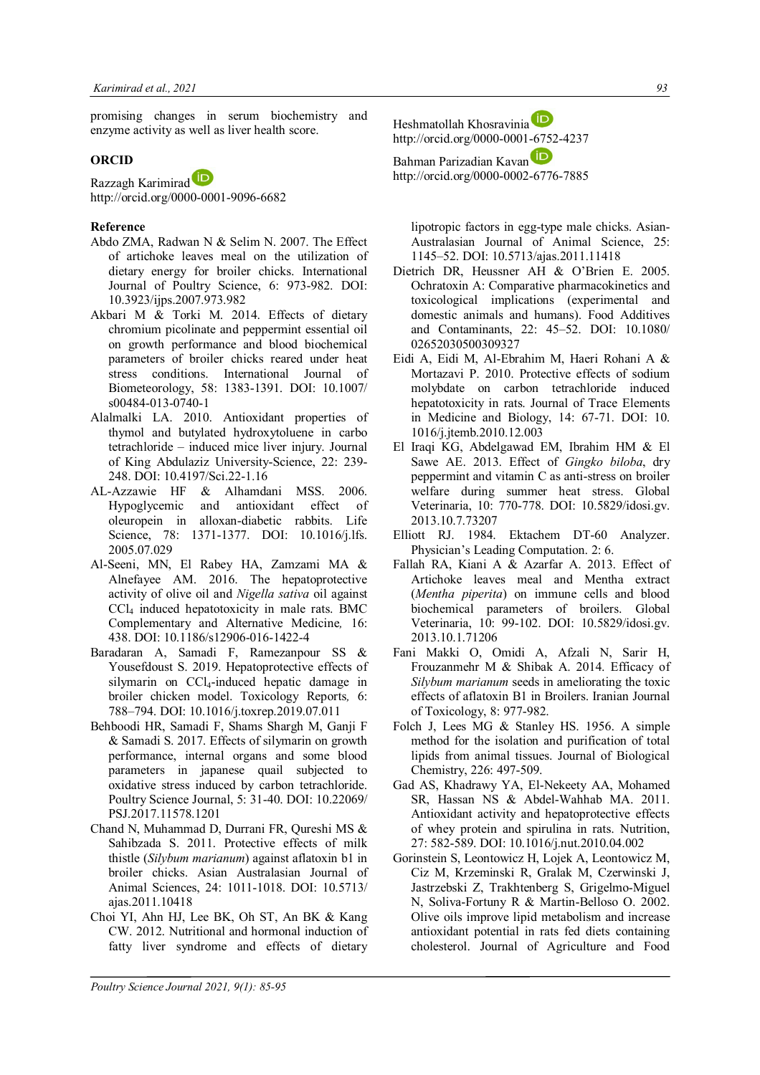promising changes in serum biochemistry and enzyme activity as well as liver health score.

## **ORCID**

Razzagh Karimirad

http://orcid.org/0000-0001-9096-6682

## **Reference**

- Abdo ZMA, Radwan N & Selim N. 2007. The Effect of artichoke leaves meal on the utilization of dietary energy for broiler chicks. International Journal of Poultry Science, 6: 973-982. DOI: 10.3923/ijps.2007.973.982
- Akbari M & Torki M. 2014. Effects of dietary chromium picolinate and peppermint essential oil on growth performance and blood biochemical parameters of broiler chicks reared under heat stress conditions. International Journal of Biometeorology, 58: 1383-1391. DOI: 10.1007/ s00484-013-0740-1
- Alalmalki LA. 2010. Antioxidant properties of thymol and butylated hydroxytoluene in carbo tetrachloride – induced mice liver injury. Journal of King Abdulaziz University-Science, 22: 239- 248. DOI: 10.4197/Sci.22-1.16
- AL-Azzawie HF & Alhamdani MSS. 2006. Hypoglycemic and antioxidant effect of oleuropein in alloxan-diabetic rabbits. Life Science, 78: 1371-1377. DOI: 10.1016/j.lfs. 2005.07.029
- Al-Seeni, MN, El Rabey HA, Zamzami MA & Alnefayee AM. 2016. The hepatoprotective activity of olive oil and *Nigella sativa* oil against CCl<sup>4</sup> induced hepatotoxicity in male rats. BMC Complementary and Alternative Medicine*,* 16: 438. DOI: 10.1186/s12906-016-1422-4
- Baradaran A, Samadi F, Ramezanpour SS & Yousefdoust S. 2019. Hepatoprotective effects of silymarin on CCl4-induced hepatic damage in broiler chicken model. Toxicology Reports*,* 6: 788–794. DOI: 10.1016/j.toxrep.2019.07.011
- Behboodi HR, Samadi F, Shams Shargh M, Ganji F & Samadi S. 2017. Effects of silymarin on growth performance, internal organs and some blood parameters in japanese quail subjected to oxidative stress induced by carbon tetrachloride. Poultry Science Journal, 5: 31-40. DOI: 10.22069/ PSJ.2017.11578.1201
- Chand N, Muhammad D, Durrani FR, Qureshi MS & Sahibzada S. 2011. Protective effects of milk thistle (*Silybum marianum*) against aflatoxin b1 in broiler chicks. Asian Australasian Journal of Animal Sciences, 24: 1011-1018. DOI: 10.5713/ ajas.2011.10418
- Choi YI, Ahn HJ, Lee BK, Oh ST, An BK & Kang CW. 2012. Nutritional and hormonal induction of fatty liver syndrome and effects of dietary

Heshmatollah Khosravinia http://orcid.org/0000-0001-6752-4237

Bahman Parizadian Kavan http://orcid.org/0000-0002-6776-7885

lipotropic factors in egg-type male chicks. Asian-Australasian Journal of Animal Science, 25: 1145–52. DOI: 10.5713/ajas.2011.11418

- Dietrich DR, Heussner AH & O'Brien E. 2005. Ochratoxin A: Comparative pharmacokinetics and toxicological implications (experimental and domestic animals and humans). Food Additives and Contaminants, 22: 45–52. DOI: 10.1080/ 02652030500309327
- Eidi A, Eidi M, Al-Ebrahim M, Haeri Rohani A & Mortazavi P. 2010. Protective effects of sodium molybdate on carbon tetrachloride induced hepatotoxicity in rats. Journal of Trace Elements in Medicine and Biology, 14: 67-71. DOI: 10. 1016/j.jtemb.2010.12.003
- El Iraqi KG, Abdelgawad EM, Ibrahim HM & El Sawe AE. 2013. Effect of *Gingko biloba*, dry peppermint and vitamin C as anti-stress on broiler welfare during summer heat stress. Global Veterinaria, 10: 770-778. DOI: 10.5829/idosi.gv. 2013.10.7.73207
- Elliott RJ. 1984. Ektachem DT-60 Analyzer. Physician's Leading Computation. 2: 6.
- Fallah RA, Kiani A & Azarfar A. 2013. Effect of Artichoke leaves meal and Mentha extract (*Mentha piperita*) on immune cells and blood biochemical parameters of broilers. Global Veterinaria, 10: 99-102. DOI: 10.5829/idosi.gv. 2013.10.1.71206
- Fani Makki O, Omidi A, Afzali N, Sarir H, Frouzanmehr M & Shibak A. 2014. Efficacy of *Silybum marianum* seeds in ameliorating the toxic effects of aflatoxin B1 in Broilers. Iranian Journal of Toxicology, 8: 977-982.
- Folch J, Lees MG & Stanley HS. 1956. A simple method for the isolation and purification of total lipids from animal tissues. Journal of Biological Chemistry, 226: 497-509.
- Gad AS, Khadrawy YA, El-Nekeety AA, Mohamed SR, Hassan NS & Abdel-Wahhab MA. 2011. Antioxidant activity and hepatoprotective effects of whey protein and spirulina in rats. Nutrition, 27: 582-589. DOI: 10.1016/j.nut.2010.04.002
- Gorinstein S, Leontowicz H, Lojek A, Leontowicz M, Ciz M, Krzeminski R, Gralak M, Czerwinski J, Jastrzebski Z, Trakhtenberg S, Grigelmo-Miguel N, Soliva-Fortuny R & Martin-Belloso O. 2002. Olive oils improve lipid metabolism and increase antioxidant potential in rats fed diets containing cholesterol. Journal of Agriculture and Food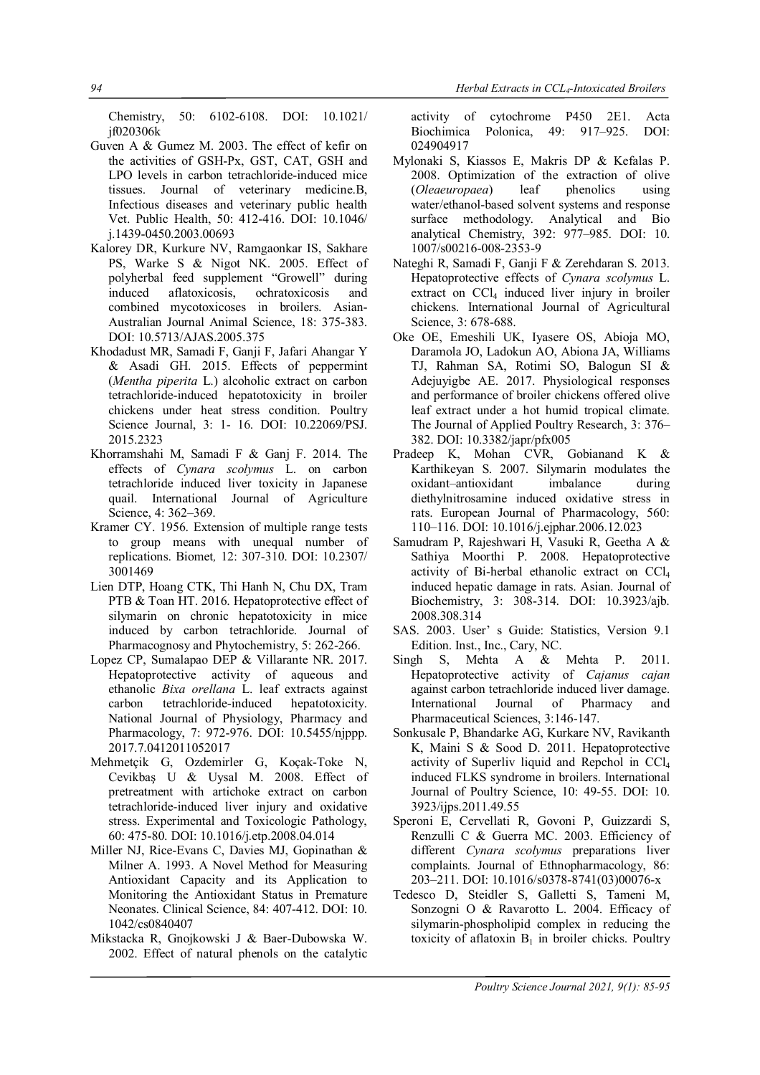Chemistry, 50: 6102-6108. DOI: 10.1021/ jf020306k

- Guven A & Gumez M. 2003. The effect of kefir on the activities of GSH-Px, GST, CAT, GSH and LPO levels in carbon tetrachloride-induced mice tissues. Journal of veterinary medicine.B, Infectious diseases and veterinary public health Vet. Public Health, 50: 412-416. DOI: 10.1046/ j.1439-0450.2003.00693
- Kalorey DR, Kurkure NV, Ramgaonkar IS, Sakhare PS, Warke S & Nigot NK. 2005. Effect of polyherbal feed supplement "Growell" during induced aflatoxicosis, ochratoxicosis and combined mycotoxicoses in broilers. Asian-Australian Journal Animal Science, 18: 375-383. DOI: 10.5713/AJAS.2005.375
- Khodadust MR, Samadi F, Ganji F, Jafari Ahangar Y & Asadi GH. 2015. Effects of peppermint (*Mentha piperita* L.) alcoholic extract on carbon tetrachloride-induced hepatotoxicity in broiler chickens under heat stress condition. Poultry Science Journal, 3: 1- 16. DOI: 10.22069/PSJ. 2015.2323
- Khorramshahi M, Samadi F & Ganj F. 2014. The effects of *Cynara scolymus* L. on carbon tetrachloride induced liver toxicity in Japanese quail. International Journal of Agriculture Science, 4: 362–369.
- Kramer CY. 1956. Extension of multiple range tests to group means with unequal number of replications. Biomet*,* 12: 307-310. DOI: 10.2307/ 3001469
- Lien DTP, Hoang CTK, Thi Hanh N, Chu DX, Tram PTB & Toan HT. 2016. Hepatoprotective effect of silymarin on chronic hepatotoxicity in mice induced by carbon tetrachloride. Journal of Pharmacognosy and Phytochemistry, 5: 262-266.
- Lopez CP, Sumalapao DEP & Villarante NR. 2017. Hepatoprotective activity of aqueous and ethanolic *Bixa orellana* L. leaf extracts against carbon tetrachloride-induced hepatotoxicity. National Journal of Physiology, Pharmacy and Pharmacology, 7: 972-976. DOI: 10.5455/njppp. 2017.7.0412011052017
- Mehmetçik G, Ozdemirler G, Koçak-Toke N, Cevikbaş U & Uysal M. 2008. Effect of pretreatment with artichoke extract on carbon tetrachloride-induced liver injury and oxidative stress. Experimental and Toxicologic Pathology, 60: 475-80. DOI: 10.1016/j.etp.2008.04.014
- Miller NJ, Rice-Evans C, Davies MJ, Gopinathan & Milner A. 1993. A Novel Method for Measuring Antioxidant Capacity and its Application to Monitoring the Antioxidant Status in Premature Neonates. Clinical Science, 84: 407-412. DOI: 10. 1042/cs0840407
- Mikstacka R, Gnojkowski J & Baer-Dubowska W. 2002. Effect of natural phenols on the catalytic

activity of cytochrome P450 2E1. Acta Biochimica Polonica, 49: 917–925. DOI: 024904917

- Mylonaki S, Kiassos E, Makris DP & Kefalas P. 2008. Optimization of the extraction of olive (*Oleaeuropaea*) leaf phenolics using water/ethanol-based solvent systems and response surface methodology. Analytical and Bio analytical Chemistry, 392: 977–985. DOI: 10. 1007/s00216-008-2353-9
- Nateghi R, Samadi F, Ganji F & Zerehdaran S. 2013. Hepatoprotective effects of *Cynara scolymus* L. extract on  $CCl<sub>4</sub>$  induced liver injury in broiler chickens. International Journal of Agricultural Science, 3: 678-688.
- Oke OE, Emeshili UK, Iyasere OS, Abioja MO, Daramola JO, Ladokun AO, Abiona JA, Williams TJ, Rahman SA, Rotimi SO, Balogun SI & Adejuyigbe AE. 2017. Physiological responses and performance of broiler chickens offered olive leaf extract under a hot humid tropical climate. The Journal of Applied Poultry Research, 3: 376– 382. DOI: 10.3382/japr/pfx005
- Pradeep K, Mohan CVR, Gobianand K & Karthikeyan S. 2007. Silymarin modulates the oxidant–antioxidant imbalance during diethylnitrosamine induced oxidative stress in rats. European Journal of Pharmacology, 560: 110–116. DOI: 10.1016/j.ejphar.2006.12.023
- Samudram P, Rajeshwari H, Vasuki R, Geetha A & Sathiya Moorthi P. 2008. Hepatoprotective activity of Bi-herbal ethanolic extract on CCl<sup>4</sup> induced hepatic damage in rats. Asian. Journal of Biochemistry, 3: 308-314. DOI: 10.3923/ajb. 2008.308.314
- SAS. 2003. User' s Guide: Statistics, Version 9.1 Edition. Inst., Inc., Cary, NC.
- Singh S, Mehta A & Mehta P. 2011. Hepatoprotective activity of *Cajanus cajan* against carbon tetrachloride induced liver damage. International Journal of Pharmacy and Pharmaceutical Sciences, 3:146-147.
- Sonkusale P, Bhandarke AG, Kurkare NV, Ravikanth K, Maini S & Sood D. 2011. Hepatoprotective activity of Superliv liquid and Repchol in CCl<sup>4</sup> induced FLKS syndrome in broilers. International Journal of Poultry Science, 10: 49-55. DOI: 10. 3923/ijps.2011.49.55
- Speroni E, Cervellati R, Govoni P, Guizzardi S, Renzulli C & Guerra MC. 2003. Efficiency of different *Cynara scolymus* preparations liver complaints. Journal of Ethnopharmacology, 86: 203–211. DOI: 10.1016/s0378-8741(03)00076-x
- Tedesco D, Steidler S, Galletti S, Tameni M, Sonzogni O & Ravarotto L. 2004. Efficacy of silymarin-phospholipid complex in reducing the toxicity of aflatoxin  $B_1$  in broiler chicks. Poultry